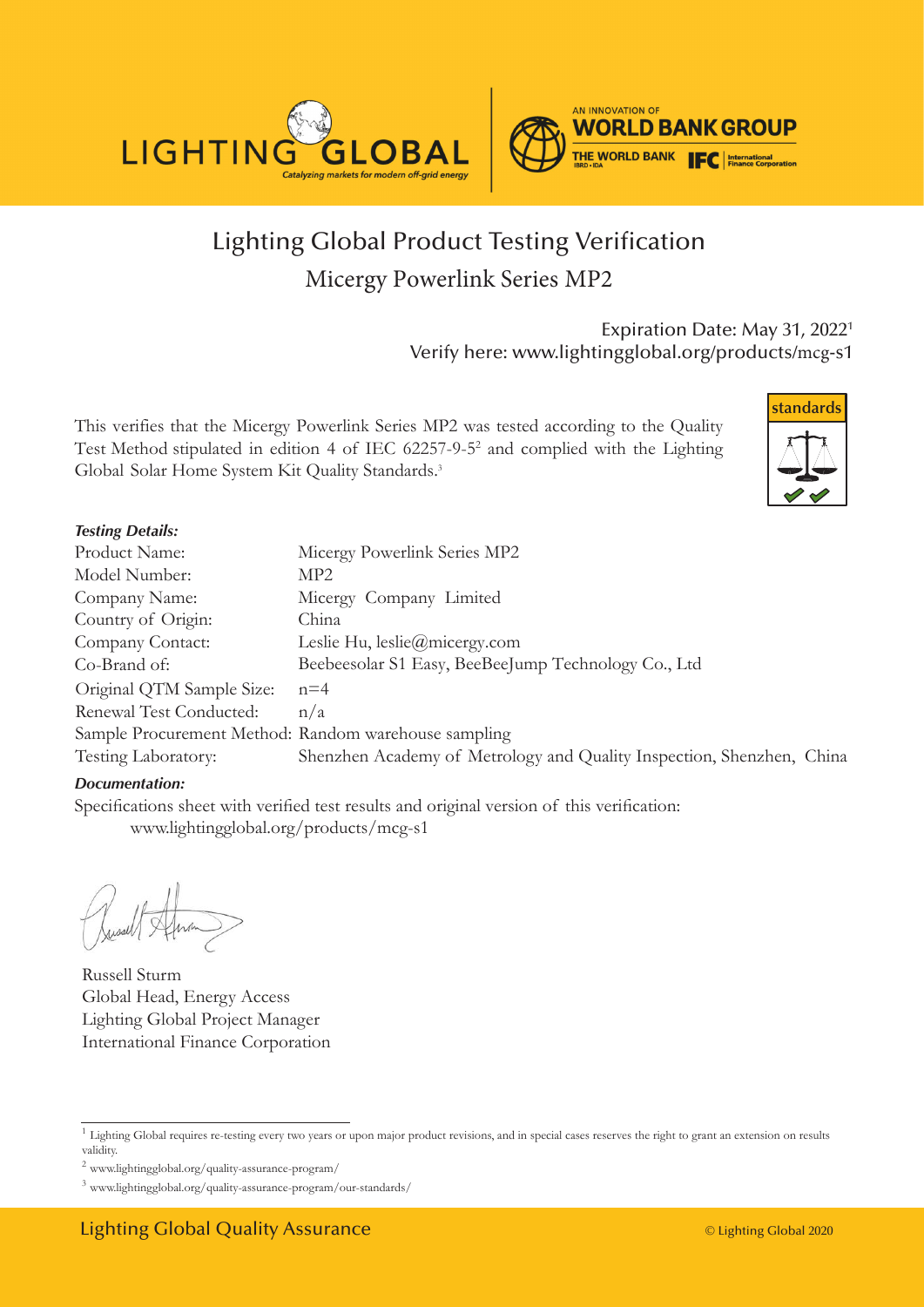

### Lighting Global Product Testing Verification Micergy Powerlink Series MP2

Expiration Date: May 31, 2022<sup>1</sup> Verify here: www.lightingglobal.org/products/mcg-s1

This verifies that the Micergy Powerlink Series MP2 was tested according to the Quality Test Method stipulated in edition 4 of IEC 62257-9-5<sup>2</sup> and complied with the Lighting Global Solar Home System Kit Quality Standards.<sup>3</sup>



#### *Testing Details:*

| Product Name:                                        | Micergy Powerlink Series MP2                                          |
|------------------------------------------------------|-----------------------------------------------------------------------|
| Model Number:                                        | MP <sub>2</sub>                                                       |
| Company Name:                                        | Micergy Company Limited                                               |
| Country of Origin:                                   | China                                                                 |
| Company Contact:                                     | Leslie Hu, $leslie(\omega m)$ icergy.com                              |
| Co-Brand of:                                         | Beebeesolar S1 Easy, BeeBeeJump Technology Co., Ltd                   |
| Original QTM Sample Size:                            | $n=4$                                                                 |
| Renewal Test Conducted:                              | n/a                                                                   |
| Sample Procurement Method: Random warehouse sampling |                                                                       |
| Testing Laboratory:                                  | Shenzhen Academy of Metrology and Quality Inspection, Shenzhen, China |

#### *Documentation:*

Specifications sheet with verified test results and original version of this verification: www.lightingglobal.org/products/mcg-s1

Russell Sturm Global Head, Energy Access Lighting Global Project Manager International Finance Corporation

<sup>&</sup>lt;sup>1</sup> Lighting Global requires re-testing every two years or upon major product revisions, and in special cases reserves the right to grant an extension on results validity.

 $^2$ www.lightingglobal.org/quality-assurance-program/  $\,$ 

<sup>3</sup> www.lightingglobal.org/quality-assurance-program/our-standards/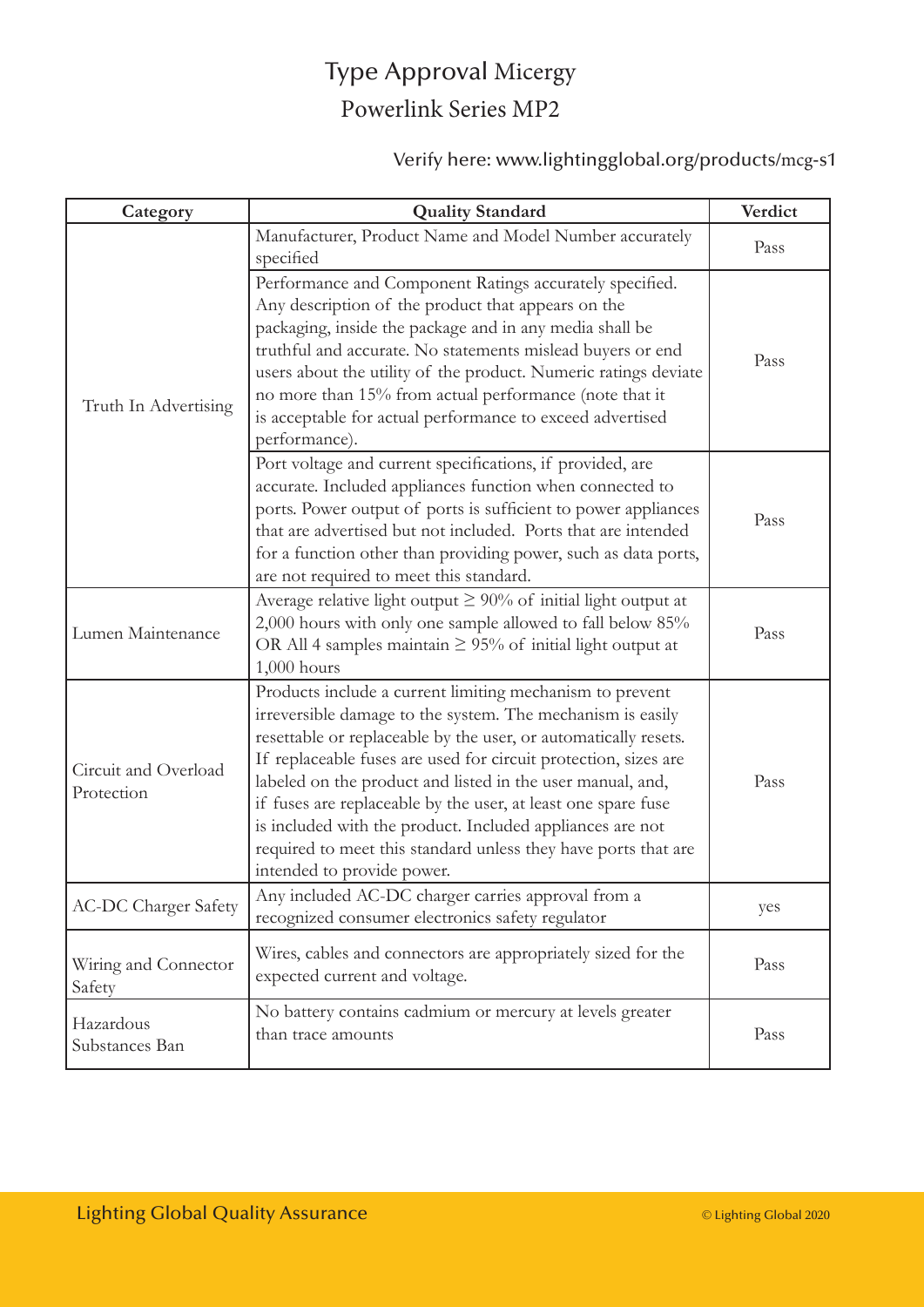# Type Approval Micergy Powerlink Series MP2

#### Verify here: www.lightingglobal.org/products/mcg-s1

| Category                           | <b>Quality Standard</b>                                                                                                                                                                                                                                                                                                                                                                                                                                                                                                                                  | Verdict |
|------------------------------------|----------------------------------------------------------------------------------------------------------------------------------------------------------------------------------------------------------------------------------------------------------------------------------------------------------------------------------------------------------------------------------------------------------------------------------------------------------------------------------------------------------------------------------------------------------|---------|
| Truth In Advertising               | Manufacturer, Product Name and Model Number accurately<br>specified                                                                                                                                                                                                                                                                                                                                                                                                                                                                                      | Pass    |
|                                    | Performance and Component Ratings accurately specified.<br>Any description of the product that appears on the<br>packaging, inside the package and in any media shall be<br>truthful and accurate. No statements mislead buyers or end<br>users about the utility of the product. Numeric ratings deviate<br>no more than 15% from actual performance (note that it<br>is acceptable for actual performance to exceed advertised<br>performance).                                                                                                        | Pass    |
|                                    | Port voltage and current specifications, if provided, are<br>accurate. Included appliances function when connected to<br>ports. Power output of ports is sufficient to power appliances<br>that are advertised but not included. Ports that are intended<br>for a function other than providing power, such as data ports,<br>are not required to meet this standard.                                                                                                                                                                                    | Pass    |
| Lumen Maintenance                  | Average relative light output $\geq 90\%$ of initial light output at<br>2,000 hours with only one sample allowed to fall below 85%<br>OR All 4 samples maintain $\geq$ 95% of initial light output at<br>$1,000$ hours                                                                                                                                                                                                                                                                                                                                   | Pass    |
| Circuit and Overload<br>Protection | Products include a current limiting mechanism to prevent<br>irreversible damage to the system. The mechanism is easily<br>resettable or replaceable by the user, or automatically resets.<br>If replaceable fuses are used for circuit protection, sizes are<br>labeled on the product and listed in the user manual, and,<br>if fuses are replaceable by the user, at least one spare fuse<br>is included with the product. Included appliances are not<br>required to meet this standard unless they have ports that are<br>intended to provide power. | Pass    |
| <b>AC-DC Charger Safety</b>        | Any included AC-DC charger carries approval from a<br>recognized consumer electronics safety regulator                                                                                                                                                                                                                                                                                                                                                                                                                                                   | yes     |
| Wiring and Connector<br>Safety     | Wires, cables and connectors are appropriately sized for the<br>expected current and voltage.                                                                                                                                                                                                                                                                                                                                                                                                                                                            | Pass    |
| Hazardous<br>Substances Ban        | No battery contains cadmium or mercury at levels greater<br>than trace amounts                                                                                                                                                                                                                                                                                                                                                                                                                                                                           | Pass    |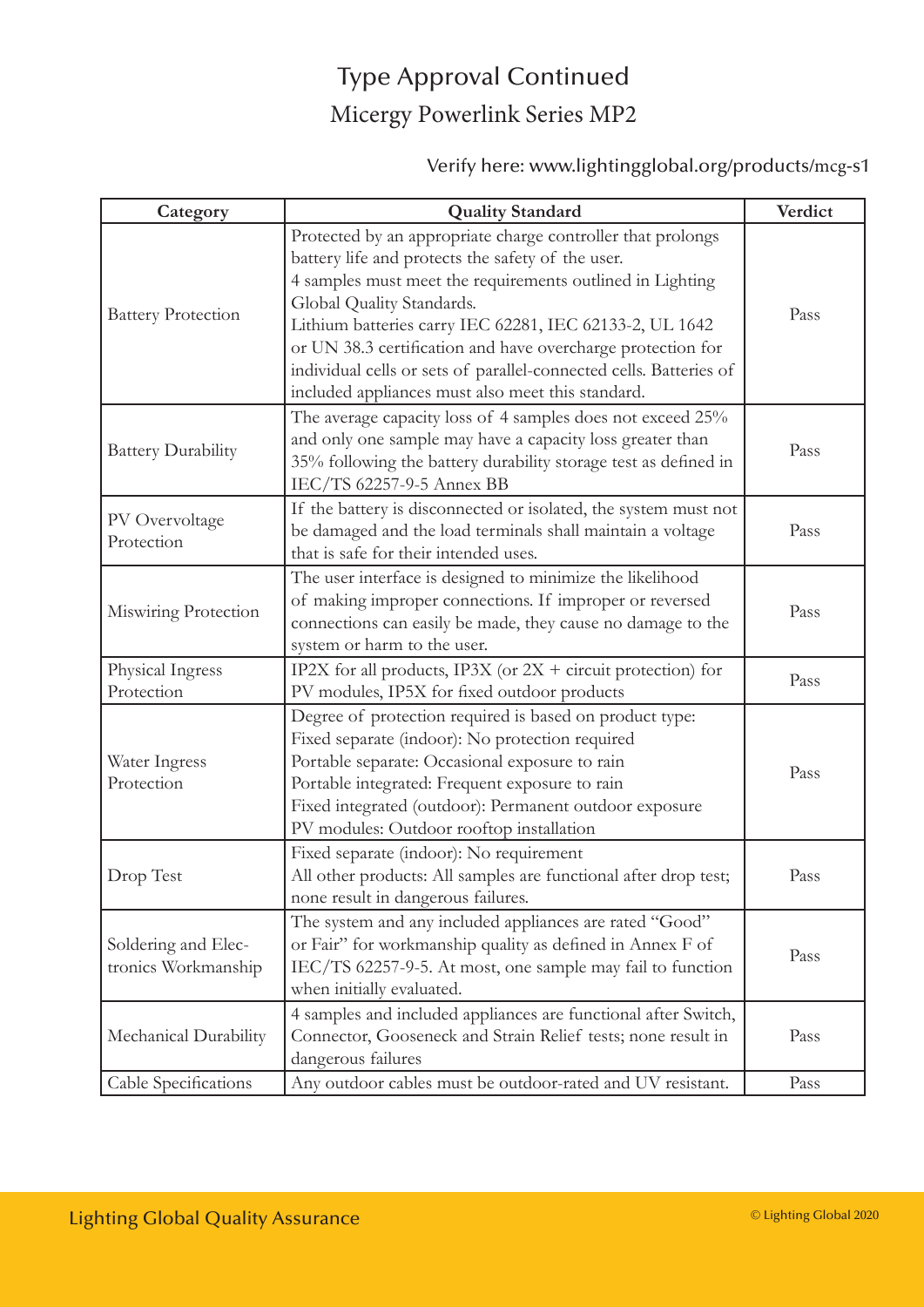# Type Approval Continued Micergy Powerlink Series MP2

Verify here: www.lightingglobal.org/products/mcg-s1

| Category                                   | <b>Quality Standard</b>                                                                                                                                                                                                                                                                                                                                                                                                                                         | Verdict |
|--------------------------------------------|-----------------------------------------------------------------------------------------------------------------------------------------------------------------------------------------------------------------------------------------------------------------------------------------------------------------------------------------------------------------------------------------------------------------------------------------------------------------|---------|
| <b>Battery Protection</b>                  | Protected by an appropriate charge controller that prolongs<br>battery life and protects the safety of the user.<br>4 samples must meet the requirements outlined in Lighting<br>Global Quality Standards.<br>Lithium batteries carry IEC 62281, IEC 62133-2, UL 1642<br>or UN 38.3 certification and have overcharge protection for<br>individual cells or sets of parallel-connected cells. Batteries of<br>included appliances must also meet this standard. | Pass    |
| <b>Battery Durability</b>                  | The average capacity loss of 4 samples does not exceed 25%<br>and only one sample may have a capacity loss greater than<br>35% following the battery durability storage test as defined in<br>IEC/TS 62257-9-5 Annex BB                                                                                                                                                                                                                                         | Pass    |
| PV Overvoltage<br>Protection               | If the battery is disconnected or isolated, the system must not<br>be damaged and the load terminals shall maintain a voltage<br>that is safe for their intended uses.                                                                                                                                                                                                                                                                                          | Pass    |
| Miswiring Protection                       | The user interface is designed to minimize the likelihood<br>of making improper connections. If improper or reversed<br>connections can easily be made, they cause no damage to the<br>system or harm to the user.                                                                                                                                                                                                                                              | Pass    |
| Physical Ingress<br>Protection             | IP2X for all products, IP3X (or $2X +$ circuit protection) for<br>PV modules, IP5X for fixed outdoor products                                                                                                                                                                                                                                                                                                                                                   | Pass    |
| Water Ingress<br>Protection                | Degree of protection required is based on product type:<br>Fixed separate (indoor): No protection required<br>Portable separate: Occasional exposure to rain<br>Portable integrated: Frequent exposure to rain<br>Fixed integrated (outdoor): Permanent outdoor exposure<br>PV modules: Outdoor rooftop installation                                                                                                                                            | Pass    |
| Drop Test                                  | Fixed separate (indoor): No requirement<br>All other products: All samples are functional after drop test;<br>none result in dangerous failures.                                                                                                                                                                                                                                                                                                                | Pass    |
| Soldering and Elec-<br>tronics Workmanship | The system and any included appliances are rated "Good"<br>or Fair" for workmanship quality as defined in Annex F of<br>IEC/TS 62257-9-5. At most, one sample may fail to function<br>when initially evaluated.                                                                                                                                                                                                                                                 | Pass    |
| Mechanical Durability                      | 4 samples and included appliances are functional after Switch,<br>Connector, Gooseneck and Strain Relief tests; none result in<br>dangerous failures                                                                                                                                                                                                                                                                                                            | Pass    |
| Cable Specifications                       | Any outdoor cables must be outdoor-rated and UV resistant.                                                                                                                                                                                                                                                                                                                                                                                                      | Pass    |